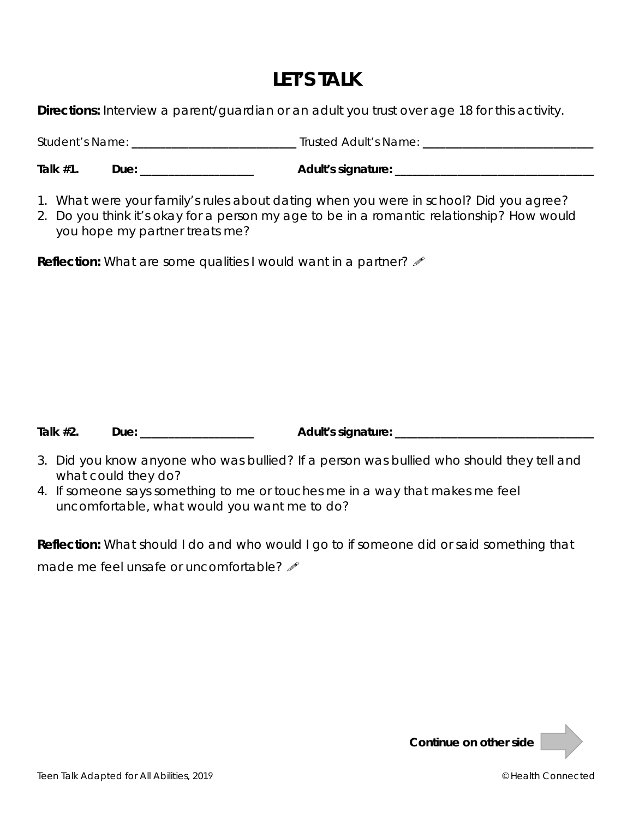## **LET'S TALK**

**Directions:** Interview a parent/guardian or an adult you trust over age 18 for this activity.

Student's Name: **\_\_\_\_\_\_\_\_\_\_\_\_\_\_\_\_\_\_\_\_\_\_\_\_\_\_\_\_\_** Trusted Adult's Name: **\_\_\_\_\_\_\_\_\_\_\_\_\_\_\_\_\_\_\_\_\_\_\_\_\_\_\_\_\_\_** 

Talk #1. Due: \_\_\_\_\_\_\_\_\_\_\_\_\_\_\_\_\_\_\_\_\_ Adult's signature: \_\_\_\_\_\_\_\_\_\_\_\_\_\_\_\_\_\_\_\_\_\_\_\_\_\_

- 1. What were your family's rules about dating when you were in school? Did you agree?
- 2. Do you think it's okay for a person my age to be in a romantic relationship? How would you hope my partner treats me?

**Reflection:** What are some qualities I would want in a partner?  $\mathscr{I}$ 

**Talk #2. Due: \_\_\_\_\_\_\_\_\_\_\_\_\_\_\_\_\_\_\_\_ Adult's signature: \_\_\_\_\_\_\_\_\_\_\_\_\_\_\_\_\_\_\_\_\_\_\_\_\_\_\_\_\_\_\_\_\_\_\_** 

- 3. Did you know anyone who was bullied? If a person was bullied who should they tell and what could they do?
- 4. If someone says something to me or touches me in a way that makes me feel uncomfortable, what would you want me to do?

**Reflection:** What should I do and who would I go to if someone did or said something that made me feel unsafe or uncomfortable?  $\mathscr N$